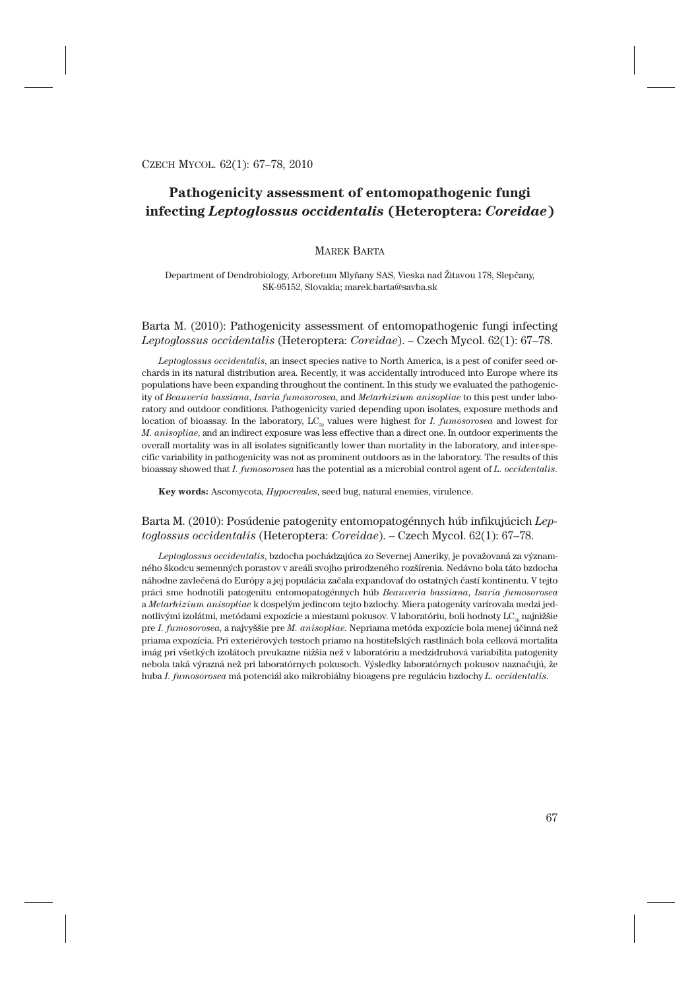# **Pathogenicity assessment of entomopathogenic fungi infecting** *Leptoglossus occidentalis* **(Heteroptera:** *Coreidae***)**

## MAREK BARTA

Department of Dendrobiology, Arboretum Mlyňany SAS, Vieska nad Žitavou 178, Slepčany, SK-95152, Slovakia; marek.barta@savba.sk

# Barta M. (2010): Pathogenicity assessment of entomopathogenic fungi infecting *Leptoglossus occidentalis* (Heteroptera: *Coreidae*). – Czech Mycol. 62(1): 67–78.

*Leptoglossus occidentalis*, an insect species native to North America, is a pest of conifer seed orchards in its natural distribution area. Recently, it was accidentally introduced into Europe where its populations have been expanding throughout the continent. In this study we evaluated the pathogenicity of *Beauveria bassiana*, *Isaria fumosorosea*, and *Metarhizium anisopliae* to this pest under laboratory and outdoor conditions. Pathogenicity varied depending upon isolates, exposure methods and location of bioassay. In the laboratory, LC<sub>50</sub> values were highest for *I. fumosorosea* and lowest for *M. anisopliae*, and an indirect exposure was less effective than a direct one. In outdoor experiments the overall mortality was in all isolates significantly lower than mortality in the laboratory, and inter-specific variability in pathogenicity was not as prominent outdoors as in the laboratory. The results of this bioassay showed that *I. fumosorosea* has the potential as a microbial control agent of *L. occidentalis*.

**Key words:** Ascomycota, *Hypocreales*, seed bug, natural enemies, virulence.

# Barta M. (2010): Posúdenie patogenity entomopatogénnych húb infikujúcich *Leptoglossus occidentalis* (Heteroptera: *Coreidae*). – Czech Mycol. 62(1): 67–78.

*Leptoglossus occidentalis*, bzdocha pochádzajúca zo Severnej Ameriky, je považovaná za významného škodcu semenných porastov v areáli svojho prirodzeného rozšírenia. Nedávno bola táto bzdocha náhodne zavlečená do Európy a jej populácia začala expandovať do ostatných častí kontinentu. V tejto práci sme hodnotili patogenitu entomopatogénnych húb *Beauveria bassiana*, *Isaria fumosorosea* a *Metarhizium anisopliae* k dospelým jedincom tejto bzdochy. Miera patogenity varírovala medzi jednotlivými izolátmi, metódami expozície a miestami pokusov. V laboratóriu, boli hodnoty  $LC_{\text{ss}}$  najnižšie pre *I. fumosorosea*, a najvyššie pre *M. anisopliae*. Nepriama metóda expozície bola menej účinná než priama expozícia. Pri exteriérových testoch priamo na hostiteľských rastlinách bola celková mortalita imág pri všetkých izolátoch preukazne nižšia než v laboratóriu a medzidruhová variabilita patogenity nebola taká výrazná než pri laboratórnych pokusoch. Výsledky laboratórnych pokusov naznačujú, že huba *I. fumosorosea* má potenciál ako mikrobiálny bioagens pre reguláciu bzdochy *L. occidentalis*.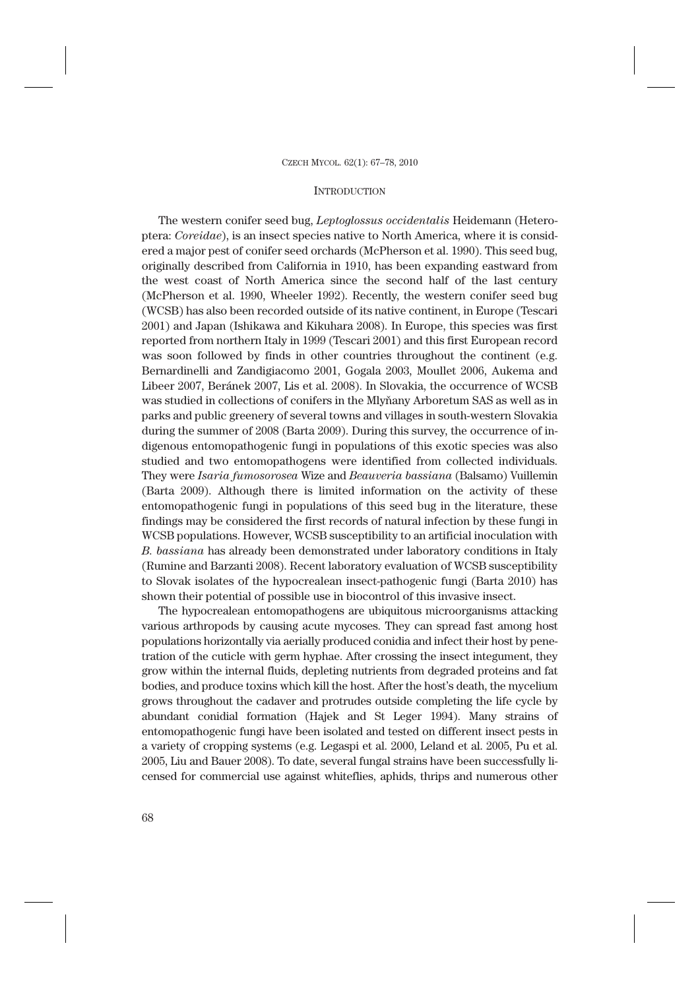### **INTRODUCTION**

The western conifer seed bug, *Leptoglossus occidentalis* Heidemann (Heteroptera: *Coreidae*), is an insect species native to North America, where it is considered a major pest of conifer seed orchards (McPherson et al. 1990). This seed bug, originally described from California in 1910, has been expanding eastward from the west coast of North America since the second half of the last century (McPherson et al. 1990, Wheeler 1992). Recently, the western conifer seed bug (WCSB) has also been recorded outside of its native continent, in Europe (Tescari 2001) and Japan (Ishikawa and Kikuhara 2008). In Europe, this species was first reported from northern Italy in 1999 (Tescari 2001) and this first European record was soon followed by finds in other countries throughout the continent (e.g. Bernardinelli and Zandigiacomo 2001, Gogala 2003, Moullet 2006, Aukema and Libeer 2007, Beránek 2007, Lis et al. 2008). In Slovakia, the occurrence of WCSB was studied in collections of conifers in the Mlyňany Arboretum SAS as well as in parks and public greenery of several towns and villages in south-western Slovakia during the summer of 2008 (Barta 2009). During this survey, the occurrence of indigenous entomopathogenic fungi in populations of this exotic species was also studied and two entomopathogens were identified from collected individuals. They were *Isaria fumosorosea* Wize and *Beauveria bassiana* (Balsamo) Vuillemin (Barta 2009). Although there is limited information on the activity of these entomopathogenic fungi in populations of this seed bug in the literature, these findings may be considered the first records of natural infection by these fungi in WCSB populations. However, WCSB susceptibility to an artificial inoculation with *B. bassiana* has already been demonstrated under laboratory conditions in Italy (Rumine and Barzanti 2008). Recent laboratory evaluation of WCSB susceptibility to Slovak isolates of the hypocrealean insect-pathogenic fungi (Barta 2010) has shown their potential of possible use in biocontrol of this invasive insect.

The hypocrealean entomopathogens are ubiquitous microorganisms attacking various arthropods by causing acute mycoses. They can spread fast among host populations horizontally via aerially produced conidia and infect their host by penetration of the cuticle with germ hyphae. After crossing the insect integument, they grow within the internal fluids, depleting nutrients from degraded proteins and fat bodies, and produce toxins which kill the host. After the host's death, the mycelium grows throughout the cadaver and protrudes outside completing the life cycle by abundant conidial formation (Hajek and St Leger 1994). Many strains of entomopathogenic fungi have been isolated and tested on different insect pests in a variety of cropping systems (e.g. Legaspi et al. 2000, Leland et al. 2005, Pu et al. 2005, Liu and Bauer 2008). To date, several fungal strains have been successfully licensed for commercial use against whiteflies, aphids, thrips and numerous other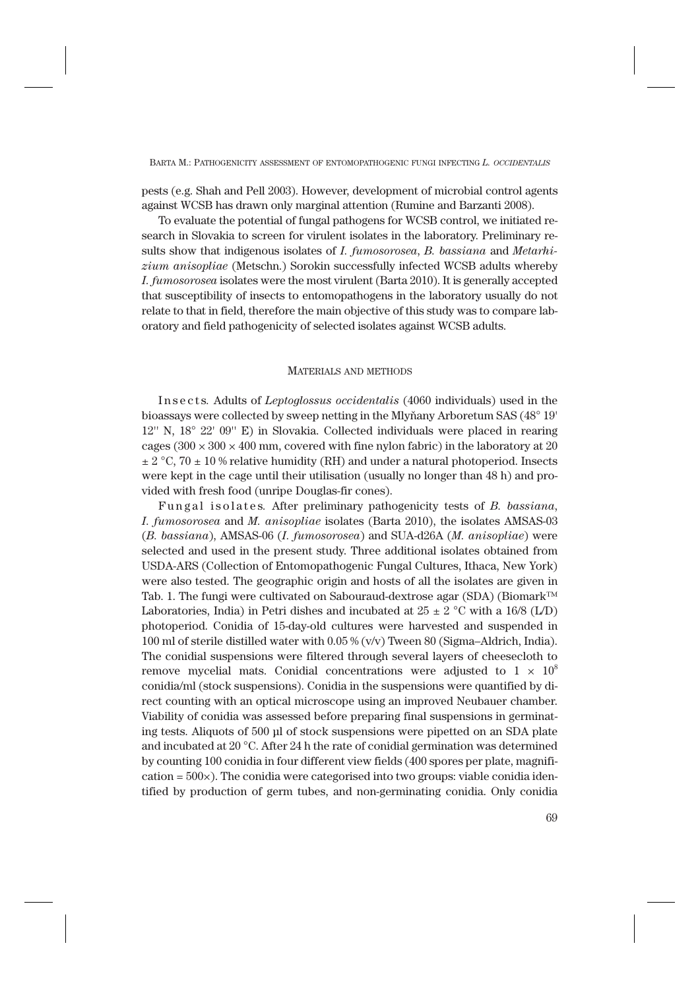pests (e.g. Shah and Pell 2003). However, development of microbial control agents against WCSB has drawn only marginal attention (Rumine and Barzanti 2008).

To evaluate the potential of fungal pathogens for WCSB control, we initiated research in Slovakia to screen for virulent isolates in the laboratory. Preliminary results show that indigenous isolates of *I. fumosorosea*, *B. bassiana* and *Metarhizium anisopliae* (Metschn.) Sorokin successfully infected WCSB adults whereby *I. fumosorosea* isolates were the most virulent (Barta 2010). It is generally accepted that susceptibility of insects to entomopathogens in the laboratory usually do not relate to that in field, therefore the main objective of this study was to compare laboratory and field pathogenicity of selected isolates against WCSB adults.

#### MATERIALS AND METHODS

Insects*.* Adults of *Leptoglossus occidentalis* (4060 individuals) used in the bioassays were collected by sweep netting in the Mlyňany Arboretum SAS (48° 19' 12'' N, 18° 22' 09'' E) in Slovakia. Collected individuals were placed in rearing cages ( $300 \times 300 \times 400$  mm, covered with fine nylon fabric) in the laboratory at 20  $\pm$  2 °C, 70  $\pm$  10 % relative humidity (RH) and under a natural photoperiod. Insects were kept in the cage until their utilisation (usually no longer than 48 h) and provided with fresh food (unripe Douglas-fir cones).

Fungal isolates*.* After preliminary pathogenicity tests of *B. bassiana*, *I. fumosorosea* and *M. anisopliae* isolates (Barta 2010), the isolates AMSAS-03 (*B. bassiana*), AMSAS-06 (*I. fumosorosea*) and SUA-d26A (*M. anisopliae*) were selected and used in the present study. Three additional isolates obtained from USDA-ARS (Collection of Entomopathogenic Fungal Cultures, Ithaca, New York) were also tested. The geographic origin and hosts of all the isolates are given in Tab. 1. The fungi were cultivated on Sabouraud-dextrose agar (SDA) (Biomark™ Laboratories, India) in Petri dishes and incubated at  $25 \pm 2$  °C with a 16/8 (L/D) photoperiod. Conidia of 15-day-old cultures were harvested and suspended in 100 ml of sterile distilled water with 0.05 % (v/v) Tween 80 (Sigma–Aldrich, India). The conidial suspensions were filtered through several layers of cheesecloth to remove mycelial mats. Conidial concentrations were adjusted to  $1 \times 10^8$ conidia/ml (stock suspensions). Conidia in the suspensions were quantified by direct counting with an optical microscope using an improved Neubauer chamber. Viability of conidia was assessed before preparing final suspensions in germinating tests. Aliquots of 500 μl of stock suspensions were pipetted on an SDA plate and incubated at 20 °C. After 24 h the rate of conidial germination was determined by counting 100 conidia in four different view fields (400 spores per plate, magnifi $cation = 500 \times)$ . The conidia were categorised into two groups: viable conidia identified by production of germ tubes, and non-germinating conidia. Only conidia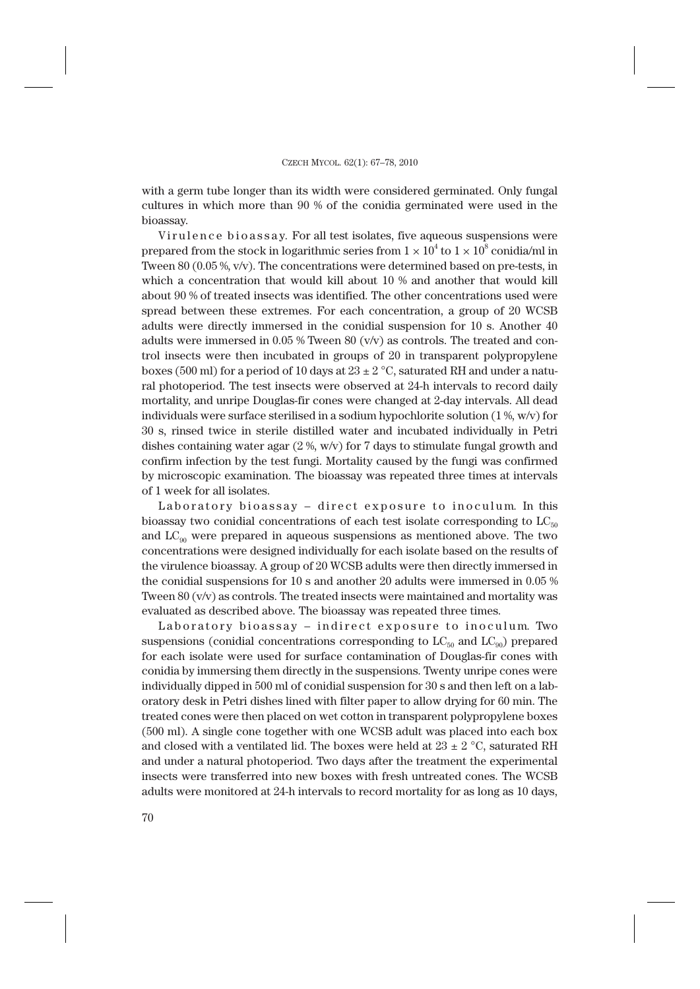with a germ tube longer than its width were considered germinated. Only fungal cultures in which more than 90 % of the conidia germinated were used in the bioassay.

Virulence bioassay*.* For all test isolates, five aqueous suspensions were prepared from the stock in logarithmic series from  $1 \times 10^4$  to  $1 \times 10^8$  conidia/ml in Tween 80 (0.05 %, v/v). The concentrations were determined based on pre-tests, in which a concentration that would kill about 10 % and another that would kill about 90 % of treated insects was identified. The other concentrations used were spread between these extremes. For each concentration, a group of 20 WCSB adults were directly immersed in the conidial suspension for 10 s. Another 40 adults were immersed in  $0.05$  % Tween 80 (v/v) as controls. The treated and control insects were then incubated in groups of 20 in transparent polypropylene boxes (500 ml) for a period of 10 days at  $23 \pm 2$  °C, saturated RH and under a natural photoperiod. The test insects were observed at 24-h intervals to record daily mortality, and unripe Douglas-fir cones were changed at 2-day intervals. All dead individuals were surface sterilised in a sodium hypochlorite solution (1 %, w/v) for 30 s, rinsed twice in sterile distilled water and incubated individually in Petri dishes containing water agar  $(2\%, w/v)$  for 7 days to stimulate fungal growth and confirm infection by the test fungi. Mortality caused by the fungi was confirmed by microscopic examination. The bioassay was repeated three times at intervals of 1 week for all isolates.

Laboratory bioassay – direct exposure to inoculum*.* In this bioassay two conidial concentrations of each test isolate corresponding to  $LC_{50}$ and  $LC_{\alpha0}$  were prepared in aqueous suspensions as mentioned above. The two concentrations were designed individually for each isolate based on the results of the virulence bioassay. A group of 20 WCSB adults were then directly immersed in the conidial suspensions for 10 s and another 20 adults were immersed in 0.05 % Tween  $80 \, \text{(v/v)}$  as controls. The treated insects were maintained and mortality was evaluated as described above. The bioassay was repeated three times.

Laboratory bioassay – indirect exposure to inoculum*.* Two suspensions (conidial concentrations corresponding to  $LC_{50}$  and  $LC_{90}$ ) prepared for each isolate were used for surface contamination of Douglas-fir cones with conidia by immersing them directly in the suspensions. Twenty unripe cones were individually dipped in 500 ml of conidial suspension for 30 s and then left on a laboratory desk in Petri dishes lined with filter paper to allow drying for 60 min. The treated cones were then placed on wet cotton in transparent polypropylene boxes (500 ml). A single cone together with one WCSB adult was placed into each box and closed with a ventilated lid. The boxes were held at  $23 \pm 2$  °C, saturated RH and under a natural photoperiod. Two days after the treatment the experimental insects were transferred into new boxes with fresh untreated cones. The WCSB adults were monitored at 24-h intervals to record mortality for as long as 10 days,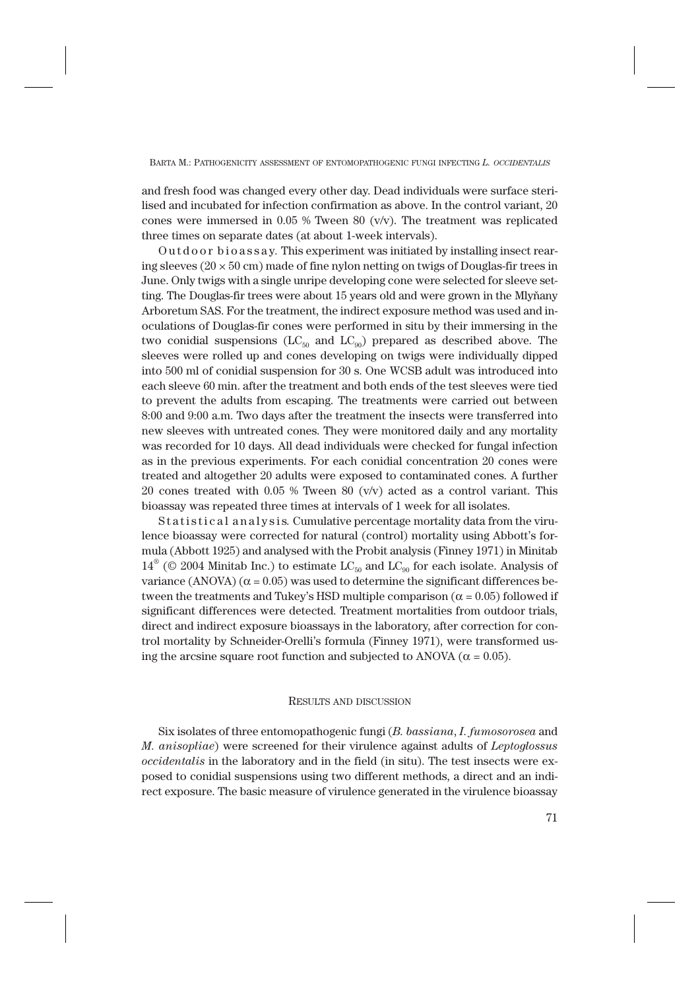BARTA M.: PATHOGENICITY ASSESSMENT OF ENTOMOPATHOGENIC FUNGI INFECTING *L. OCCIDENTALIS*

and fresh food was changed every other day. Dead individuals were surface sterilised and incubated for infection confirmation as above. In the control variant, 20 cones were immersed in  $0.05$  % Tween 80 (v/v). The treatment was replicated three times on separate dates (at about 1-week intervals).

Outdoor bioassay*.* This experiment was initiated by installing insect rearing sleeves ( $20 \times 50$  cm) made of fine nylon netting on twigs of Douglas-fir trees in June. Only twigs with a single unripe developing cone were selected for sleeve setting. The Douglas-fir trees were about 15 years old and were grown in the Mlyňany Arboretum SAS. For the treatment, the indirect exposure method was used and inoculations of Douglas-fir cones were performed in situ by their immersing in the two conidial suspensions ( $LC_{50}$  and  $LC_{90}$ ) prepared as described above. The sleeves were rolled up and cones developing on twigs were individually dipped into 500 ml of conidial suspension for 30 s. One WCSB adult was introduced into each sleeve 60 min. after the treatment and both ends of the test sleeves were tied to prevent the adults from escaping. The treatments were carried out between 8:00 and 9:00 a.m. Two days after the treatment the insects were transferred into new sleeves with untreated cones. They were monitored daily and any mortality was recorded for 10 days. All dead individuals were checked for fungal infection as in the previous experiments. For each conidial concentration 20 cones were treated and altogether 20 adults were exposed to contaminated cones. A further 20 cones treated with 0.05 % Tween 80 (v/v) acted as a control variant. This bioassay was repeated three times at intervals of 1 week for all isolates.

Statistical analysis*.* Cumulative percentage mortality data from the virulence bioassay were corrected for natural (control) mortality using Abbott's formula (Abbott 1925) and analysed with the Probit analysis (Finney 1971) in Minitab  $14^{\circ}$  (© 2004 Minitab Inc.) to estimate LC<sub>50</sub> and LC<sub>90</sub> for each isolate. Analysis of variance (ANOVA) ( $\alpha$  = 0.05) was used to determine the significant differences between the treatments and Tukey's HSD multiple comparison ( $\alpha = 0.05$ ) followed if significant differences were detected. Treatment mortalities from outdoor trials, direct and indirect exposure bioassays in the laboratory, after correction for control mortality by Schneider-Orelli's formula (Finney 1971), were transformed using the arcsine square root function and subjected to ANOVA ( $\alpha$  = 0.05).

### RESULTS AND DISCUSSION

Six isolates of three entomopathogenic fungi (*B. bassiana*, *I. fumosorosea* and *M. anisopliae*) were screened for their virulence against adults of *Leptoglossus occidentalis* in the laboratory and in the field (in situ). The test insects were exposed to conidial suspensions using two different methods, a direct and an indirect exposure. The basic measure of virulence generated in the virulence bioassay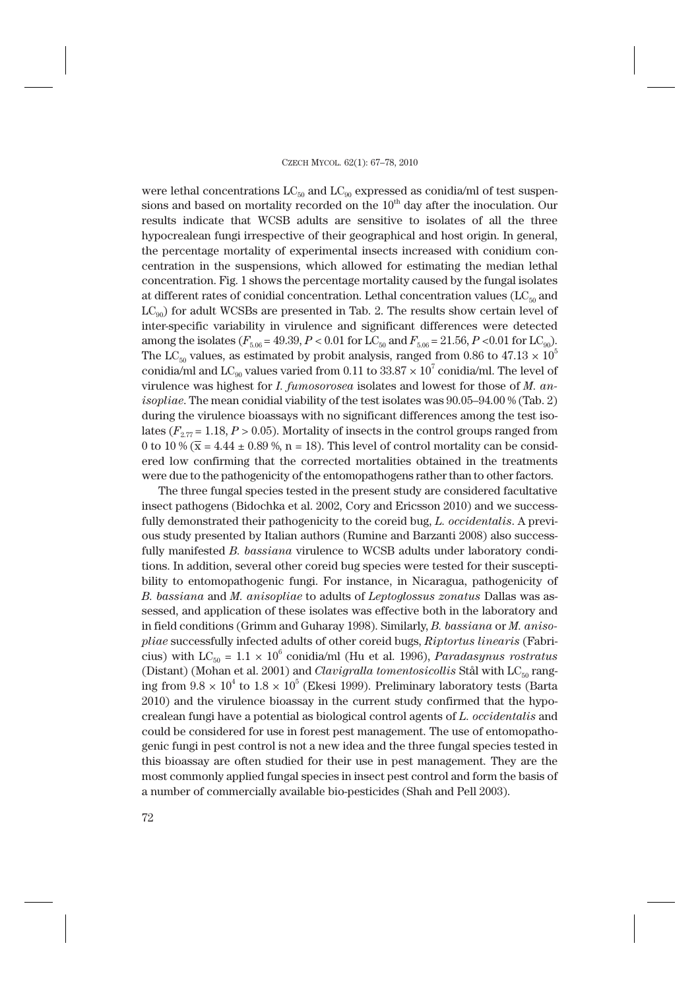were lethal concentrations  $LC_{50}$  and  $LC_{90}$  expressed as conidia/ml of test suspensions and based on mortality recorded on the  $10<sup>th</sup>$  day after the inoculation. Our results indicate that WCSB adults are sensitive to isolates of all the three hypocrealean fungi irrespective of their geographical and host origin. In general, the percentage mortality of experimental insects increased with conidium concentration in the suspensions, which allowed for estimating the median lethal concentration. Fig. 1 shows the percentage mortality caused by the fungal isolates at different rates of conidial concentration. Lethal concentration values ( $LC_{50}$  and  $LC_{q0}$ ) for adult WCSBs are presented in Tab. 2. The results show certain level of inter-specific variability in virulence and significant differences were detected among the isolates  $(F_{5.06} = 49.39, P < 0.01$  for LC<sub>50</sub> and  $F_{5.06} = 21.56, P < 0.01$  for LC<sub>90</sub>). The LC<sub>50</sub> values, as estimated by probit analysis, ranged from 0.86 to 47.13  $\times$  10<sup>5</sup> conidia/ml and  $LC_{90}$  values varied from 0.11 to  $33.87 \times 10^7$  conidia/ml. The level of virulence was highest for *I. fumosorosea* isolates and lowest for those of *M. anisopliae*. The mean conidial viability of the test isolates was 90.05–94.00 % (Tab. 2) during the virulence bioassays with no significant differences among the test isolates ( $F_{2.77}$  = 1.18, *P* > 0.05). Mortality of insects in the control groups ranged from 0 to 10 %  $(\bar{x} = 4.44 \pm 0.89 \text{ %}, n = 18)$ . This level of control mortality can be considered low confirming that the corrected mortalities obtained in the treatments were due to the pathogenicity of the entomopathogens rather than to other factors.

The three fungal species tested in the present study are considered facultative insect pathogens (Bidochka et al. 2002, Cory and Ericsson 2010) and we successfully demonstrated their pathogenicity to the coreid bug, *L. occidentalis*. A previous study presented by Italian authors (Rumine and Barzanti 2008) also successfully manifested *B. bassiana* virulence to WCSB adults under laboratory conditions. In addition, several other coreid bug species were tested for their susceptibility to entomopathogenic fungi. For instance, in Nicaragua, pathogenicity of *B. bassiana* and *M. anisopliae* to adults of *Leptoglossus zonatus* Dallas was assessed, and application of these isolates was effective both in the laboratory and in field conditions (Grimm and Guharay 1998). Similarly, *B. bassiana* or *M. anisopliae* successfully infected adults of other coreid bugs, *Riptortus linearis* (Fabricius) with  $LC_{50} = 1.1 \times 10^6$  conidia/ml (Hu et al. 1996), *Paradasynus rostratus* (Distant) (Mohan et al. 2001) and *Clavigralla tomentosicollis* Stål with LC<sub>50</sub> ranging from  $9.8 \times 10^4$  to  $1.8 \times 10^5$  (Ekesi 1999). Preliminary laboratory tests (Barta 2010) and the virulence bioassay in the current study confirmed that the hypocrealean fungi have a potential as biological control agents of *L. occidentalis* and could be considered for use in forest pest management. The use of entomopathogenic fungi in pest control is not a new idea and the three fungal species tested in this bioassay are often studied for their use in pest management. They are the most commonly applied fungal species in insect pest control and form the basis of a number of commercially available bio-pesticides (Shah and Pell 2003).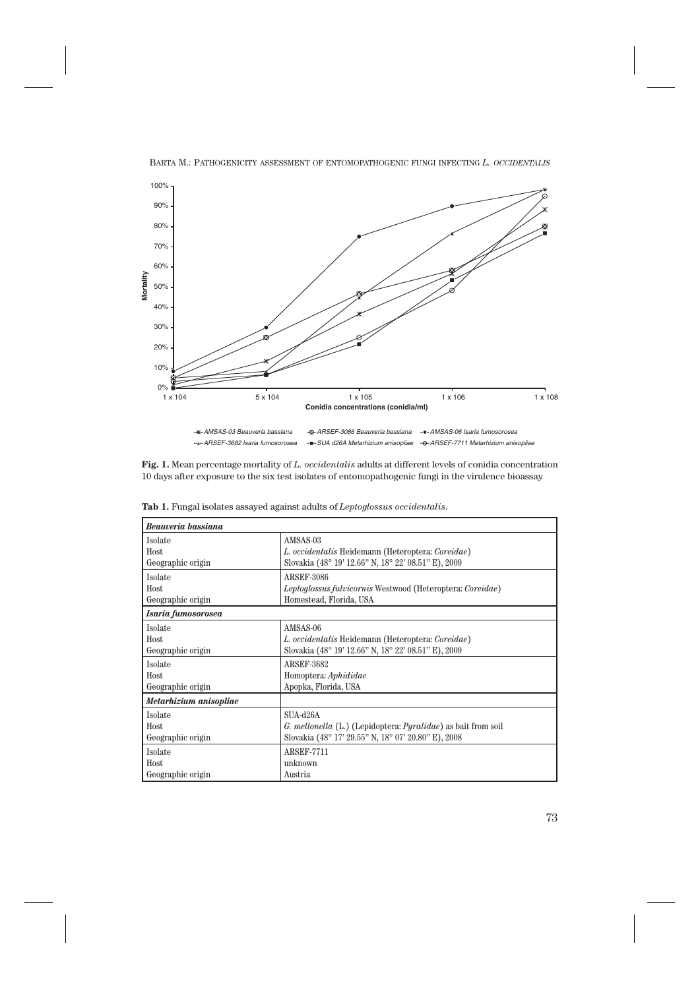

BARTA M.: PATHOGENICITY ASSESSMENT OF ENTOMOPATHOGENIC FUNGI INFECTING *L. OCCIDENTALIS*

**Fig. 1.** Mean percentage mortality of *L. occidentalis* adults at different levels of conidia concentration 10 days after exposure to the six test isolates of entomopathogenic fungi in the virulence bioassay.

| Beauveria bassiana     |                                                                          |  |  |  |  |
|------------------------|--------------------------------------------------------------------------|--|--|--|--|
| Isolate                | AMSAS-03                                                                 |  |  |  |  |
| Host                   | L. occidentalis Heidemann (Heteroptera: Coreidae)                        |  |  |  |  |
| Geographic origin      | Slovakia (48° 19' 12.66" N, 18° 22' 08.51" E), 2009                      |  |  |  |  |
| Isolate                | <b>ARSEF-3086</b>                                                        |  |  |  |  |
| Host                   | <i>Leptoglossus fulvicornis</i> Westwood (Heteroptera: <i>Coreidae</i> ) |  |  |  |  |
| Geographic origin      | Homestead, Florida, USA                                                  |  |  |  |  |
| Isaria fumosorosea     |                                                                          |  |  |  |  |
| Isolate                | AMSAS-06                                                                 |  |  |  |  |
| Host                   | L. occidentalis Heidemann (Heteroptera: Coreidae)                        |  |  |  |  |
| Geographic origin      | Slovakia (48° 19' 12.66" N, 18° 22' 08.51" E), 2009                      |  |  |  |  |
| Isolate                | <b>ARSEF-3682</b>                                                        |  |  |  |  |
| Host                   | Homoptera: Aphididae                                                     |  |  |  |  |
| Geographic origin      | Apopka, Florida, USA                                                     |  |  |  |  |
| Metarhizium anisopliae |                                                                          |  |  |  |  |
| Isolate                | $SIIA-d26A$                                                              |  |  |  |  |
| Host                   | G. mellonella (L.) (Lepidoptera: Pyralidae) as bait from soil            |  |  |  |  |
| Geographic origin      | Slovakia (48° 17' 29.55" N, 18° 07' 20.80" E), 2008                      |  |  |  |  |
| Isolate                | <b>ARSEF-7711</b>                                                        |  |  |  |  |
| Host                   | unknown                                                                  |  |  |  |  |
| Geographic origin      | Austria                                                                  |  |  |  |  |

**Tab 1.** Fungal isolates assayed against adults of *Leptoglossus occidentalis*.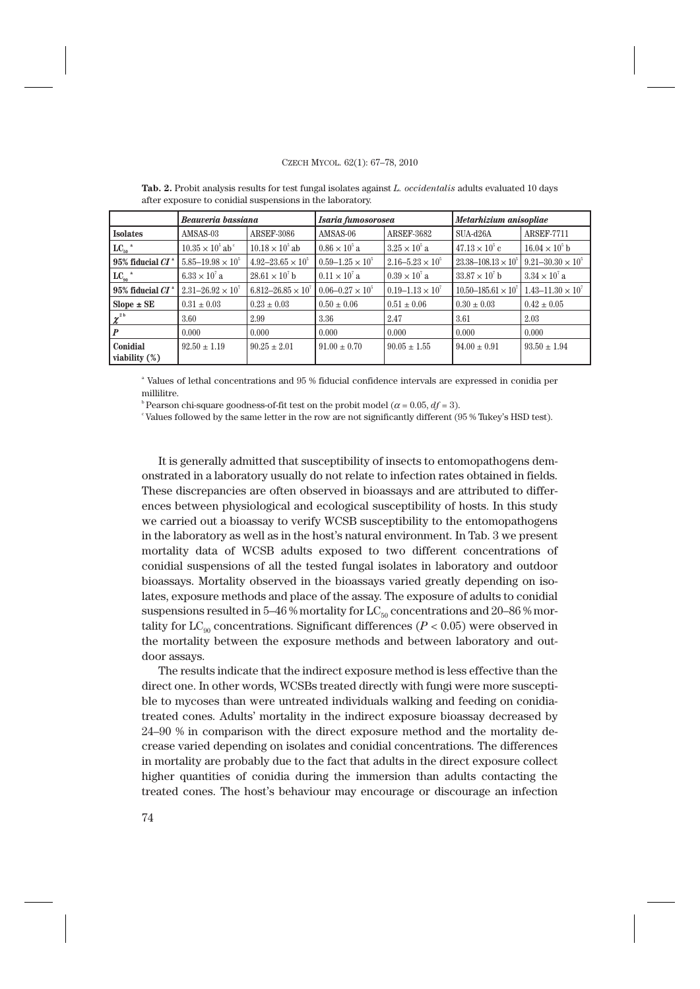#### CZECH MYCOL. 62(1): 67–78, 2010

|                              | Beauveria bassiana                    |                               | Isaria fumosorosea        |                             | Metarhizium anisopliae         |                              |
|------------------------------|---------------------------------------|-------------------------------|---------------------------|-----------------------------|--------------------------------|------------------------------|
| <b>Isolates</b>              | AMSAS-03                              | <b>ARSEF-3086</b>             | AMSAS-06                  | <b>ARSEF-3682</b>           | $SUA-d26A$                     | <b>ARSEF-7711</b>            |
| $LC_{50}$ <sup>a</sup>       | $10.35 \times 10^{5}$ ab <sup>c</sup> | $10.18 \times 10^{5}$ ab      | $0.86 \times 10^{5}$ a    | $3.25 \times 10^{5}$ a      | $47.13 \times 10^{5}$ c        | $16.04 \times 10^{6}$ b      |
| $95\%$ fiducial $CI^*$       | $5.85 - 19.98 \times 10^5$            | $4.92 - 23.65 \times 10^{5}$  | $0.59 - 1.25 \times 10^5$ | $2.16 - 5.23 \times 10^5$   | $23.38 - 108.13 \times 10^5$   | $9.21 - 30.30 \times 10^5$   |
| $LC_{90}$ <sup>a</sup>       | $6.33 \times 10^{7}$ a                | $28.61 \times 10^7$ b         | $0.11 \times 10^{7}$ a    | $0.39 \times 10^{7}$ a      | $33.87 \times 10^7$ b          | $3.34 \times 10^{7}$ a       |
| $95\%$ fiducial $CI$         | $2.31 - 26.92 \times 10^{7}$          | $6.812 - 26.85 \times 10^{7}$ | $0.06 - 0.27 \times 10^5$ | $0.19 - 1.13 \times 10^{7}$ | $10.50 - 185.61 \times 10^{7}$ | $1.43 - 11.30 \times 10^{7}$ |
| $Slope \pm SE$               | $0.31 \pm 0.03$                       | $0.23 \pm 0.03$               | $0.50 \pm 0.06$           | $0.51 \pm 0.06$             | $0.30 \pm 0.03$                | $0.42 \pm 0.05$              |
| $\chi^{^{2\,b}}$             | 3.60                                  | 2.99                          | 3.36                      | 2.47                        | 3.61                           | 2.03                         |
|                              | 0.000                                 | 0.000                         | 0.000                     | 0.000                       | 0.000                          | 0.000                        |
| Conidial<br>viability $(\%)$ | $92.50 \pm 1.19$                      | $90.25 \pm 2.01$              | $91.00 \pm 0.70$          | $90.05 \pm 1.55$            | $94.00 \pm 0.91$               | $93.50 \pm 1.94$             |

**Tab. 2.** Probit analysis results for test fungal isolates against *L. occidentalis* adults evaluated 10 days after exposure to conidial suspensions in the laboratory.

 $^\circ$  Values of lethal concentrations and 95 % fiducial confidence intervals are expressed in conidia per millilitre.

<sup>b</sup> Pearson chi-square goodness-of-fit test on the probit model ( $\alpha$  = 0.05,  $df$  = 3).

c Values followed by the same letter in the row are not significantly different (95 % Tukey's HSD test).

It is generally admitted that susceptibility of insects to entomopathogens demonstrated in a laboratory usually do not relate to infection rates obtained in fields. These discrepancies are often observed in bioassays and are attributed to differences between physiological and ecological susceptibility of hosts. In this study we carried out a bioassay to verify WCSB susceptibility to the entomopathogens in the laboratory as well as in the host's natural environment. In Tab. 3 we present mortality data of WCSB adults exposed to two different concentrations of conidial suspensions of all the tested fungal isolates in laboratory and outdoor bioassays. Mortality observed in the bioassays varied greatly depending on isolates, exposure methods and place of the assay. The exposure of adults to conidial suspensions resulted in 5–46 % mortality for  $LC_{50}$  concentrations and 20–86 % mortality for  $LC_{90}$  concentrations. Significant differences ( $P < 0.05$ ) were observed in the mortality between the exposure methods and between laboratory and outdoor assays.

The results indicate that the indirect exposure method is less effective than the direct one. In other words, WCSBs treated directly with fungi were more susceptible to mycoses than were untreated individuals walking and feeding on conidiatreated cones. Adults' mortality in the indirect exposure bioassay decreased by 24–90 % in comparison with the direct exposure method and the mortality decrease varied depending on isolates and conidial concentrations. The differences in mortality are probably due to the fact that adults in the direct exposure collect higher quantities of conidia during the immersion than adults contacting the treated cones. The host's behaviour may encourage or discourage an infection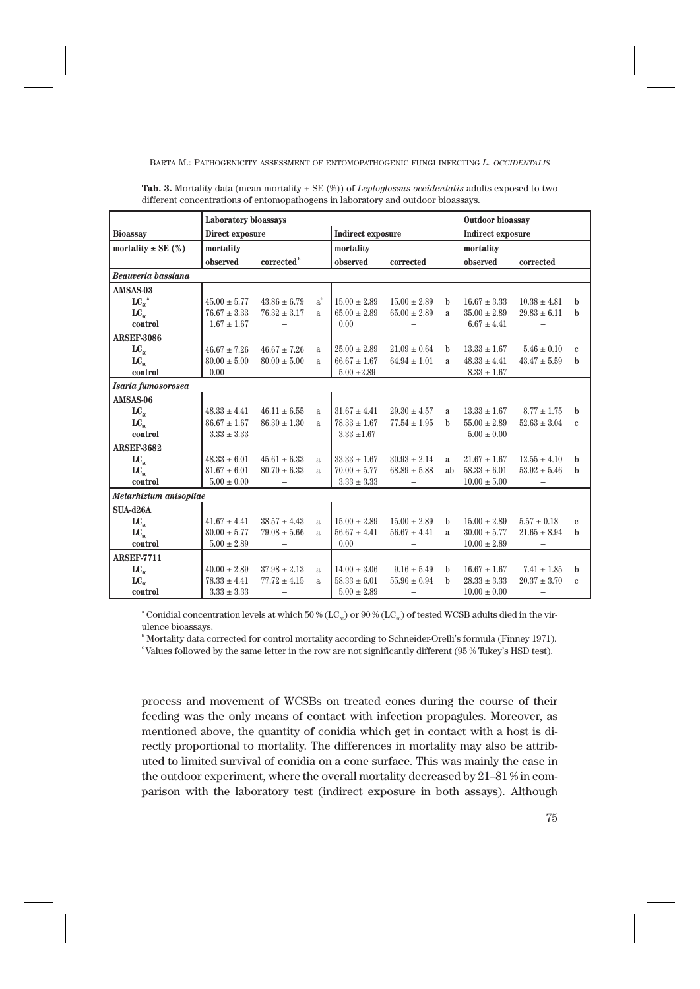BARTA M.: PATHOGENICITY ASSESSMENT OF ENTOMOPATHOGENIC FUNGI INFECTING *L. OCCIDENTALIS*

|                        | Laboratory bioassays |                          |         |                   | Outdoor bioassay         |                          |                  |                          |              |
|------------------------|----------------------|--------------------------|---------|-------------------|--------------------------|--------------------------|------------------|--------------------------|--------------|
| <b>Bioassay</b>        | Direct exposure      |                          |         | Indirect exposure |                          | <b>Indirect exposure</b> |                  |                          |              |
| mortality $\pm$ SE (%) | mortality            |                          |         | mortality         |                          |                          | mortality        |                          |              |
|                        | observed             | corrected <sup>b</sup>   |         | observed          | corrected                |                          | observed         | corrected                |              |
| Beauveria bassiana     |                      |                          |         |                   |                          |                          |                  |                          |              |
| AMSAS-03               |                      |                          |         |                   |                          |                          |                  |                          |              |
| $LC_{50}$ <sup>a</sup> | $45.00 \pm 5.77$     | $43.86 \pm 6.79$         | $a^{c}$ | $15.00 \pm 2.89$  | $15.00 \pm 2.89$         | b                        | $16.67 \pm 3.33$ | $10.38 \pm 4.81$         | b            |
| $LC_{\alpha}$          | $76.67 \pm 3.33$     | $76.32 \pm 3.17$         | a       | $65.00 \pm 2.89$  | $65.00 \pm 2.89$         | $\mathbf{a}$             | $35.00 \pm 2.89$ | $29.83\pm6.11$           | b            |
| control                | $1.67 \pm 1.67$      |                          |         | 0.00              |                          |                          | $6.67 \pm 4.41$  |                          |              |
| <b>ARSEF-3086</b>      |                      |                          |         |                   |                          |                          |                  |                          |              |
| $LC_{50}$              | $46.67 \pm 7.26$     | $46.67 \pm 7.26$         | a       | $25.00 \pm 2.89$  | $21.09 \pm 0.64$         | b                        | $13.33 \pm 1.67$ | $5.46 \pm 0.10$          | $\mathbf{c}$ |
| $LC_{\alpha}$          | $80.00 \pm 5.00$     | $80.00 \pm 5.00$         | a       | $66.67 \pm 1.67$  | $64.94 \pm 1.01$         | $\mathbf{a}$             | $48.33 \pm 4.41$ | $43.47 \pm 5.59$         | h            |
| control                | 0.00                 |                          |         | $5.00 \pm 2.89$   |                          |                          | $8.33 \pm 1.67$  |                          |              |
| Isaria fumosorosea     |                      |                          |         |                   |                          |                          |                  |                          |              |
| AMSAS-06               |                      |                          |         |                   |                          |                          |                  |                          |              |
| $LC_{50}$              | $48.33 \pm 4.41$     | $46.11 \pm 6.55$         | a       | $31.67 \pm 4.41$  | $29.30 \pm 4.57$         | a                        | $13.33 \pm 1.67$ | $8.77 \pm 1.75$          | h            |
| $LC_{\alpha}$          | $86.67 \pm 1.67$     | $86.30 \pm 1.30$         | a       | $78.33 \pm 1.67$  | $77.54 \pm 1.95$         | <sub>h</sub>             | $55.00 \pm 2.89$ | $52.63 \pm 3.04$         | $\mathbf{c}$ |
| control                | $3.33 \pm 3.33$      | $\overline{\phantom{0}}$ |         | $3.33 \pm 1.67$   |                          |                          | $5.00 \pm 0.00$  |                          |              |
| <b>ARSEF-3682</b>      |                      |                          |         |                   |                          |                          |                  |                          |              |
| $LC_{50}$              | $48.33 \pm 6.01$     | $45.61 \pm 6.33$         | a       | $33.33 \pm 1.67$  | $30.93 \pm 2.14$         | $\mathbf{a}$             | $21.67 \pm 1.67$ | $12.55 \pm 4.10$         | h            |
| $LC_{\alpha}$          | $81.67 \pm 6.01$     | $80.70 \pm 6.33$         | a       | $70.00 \pm 5.77$  | $68.89 \pm 5.88$         | ab                       | $58.33 \pm 6.01$ | $53.92 \pm 5.46$         | b            |
| control                | $5.00 \pm 0.00$      | $\overline{\phantom{a}}$ |         | $3.33 \pm 3.33$   | $\overline{\phantom{m}}$ |                          | $10.00 \pm 5.00$ | $\overline{\phantom{m}}$ |              |
| Metarhizium anisopliae |                      |                          |         |                   |                          |                          |                  |                          |              |
| <b>SUA-d26A</b>        |                      |                          |         |                   |                          |                          |                  |                          |              |
| $LC_{50}$              | $41.67 \pm 4.41$     | $38.57 \pm 4.43$         | a       | $15.00 \pm 2.89$  | $15.00 \pm 2.89$         | $\mathbf b$              | $15.00 \pm 2.89$ | $5.57 \pm 0.18$          | $\mathbf{c}$ |
| $LC_{90}$              | $80.00 \pm 5.77$     | $79.08 \pm 5.66$         | a       | $56.67 \pm 4.41$  | $56.67 \pm 4.41$         | a.                       | $30.00 \pm 5.77$ | $21.65 \pm 8.94$         | h            |
| control                | $5.00 \pm 2.89$      | $\overline{\phantom{a}}$ |         | 0.00              | $\qquad \qquad -$        |                          | $10.00 \pm 2.89$ | $\overline{\phantom{a}}$ |              |
| <b>ARSEF-7711</b>      |                      |                          |         |                   |                          |                          |                  |                          |              |
| $LC_{50}$              | $40.00 \pm 2.89$     | $37.98 \pm 2.13$         | a       | $14.00 \pm 3.06$  | $9.16 \pm 5.49$          | h                        | $16.67 \pm 1.67$ | $7.41 \pm 1.85$          | h            |
| $LC_{\alpha}$          | $78.33 \pm 4.41$     | $77.72 \pm 4.15$         | a       | $58.33 \pm 6.01$  | $55.96 \pm 6.94$         | <sub>h</sub>             | $28.33 \pm 3.33$ | $20.37 \pm 3.70$         | $\mathbf{c}$ |
| control                | $3.33 \pm 3.33$      | $\qquad \qquad -$        |         | $5.00 \pm 2.89$   | $\overline{\phantom{0}}$ |                          | $10.00 \pm 0.00$ | $\overline{\phantom{m}}$ |              |

**Tab. 3.** Mortality data (mean mortality ± SE (%)) of *Leptoglossus occidentalis* adults exposed to two different concentrations of entomopathogens in laboratory and outdoor bioassays.

 $^{\circ}$  Conidial concentration levels at which 50 % (LC<sub>50</sub>) or 90 % (LC<sub>90</sub>) of tested WCSB adults died in the virulence bioassays.

b Mortality data corrected for control mortality according to Schneider-Orelli's formula (Finney 1971).

c Values followed by the same letter in the row are not significantly different (95 % Tukey's HSD test).

process and movement of WCSBs on treated cones during the course of their feeding was the only means of contact with infection propagules. Moreover, as mentioned above, the quantity of conidia which get in contact with a host is directly proportional to mortality. The differences in mortality may also be attributed to limited survival of conidia on a cone surface. This was mainly the case in the outdoor experiment, where the overall mortality decreased by 21–81 % in comparison with the laboratory test (indirect exposure in both assays). Although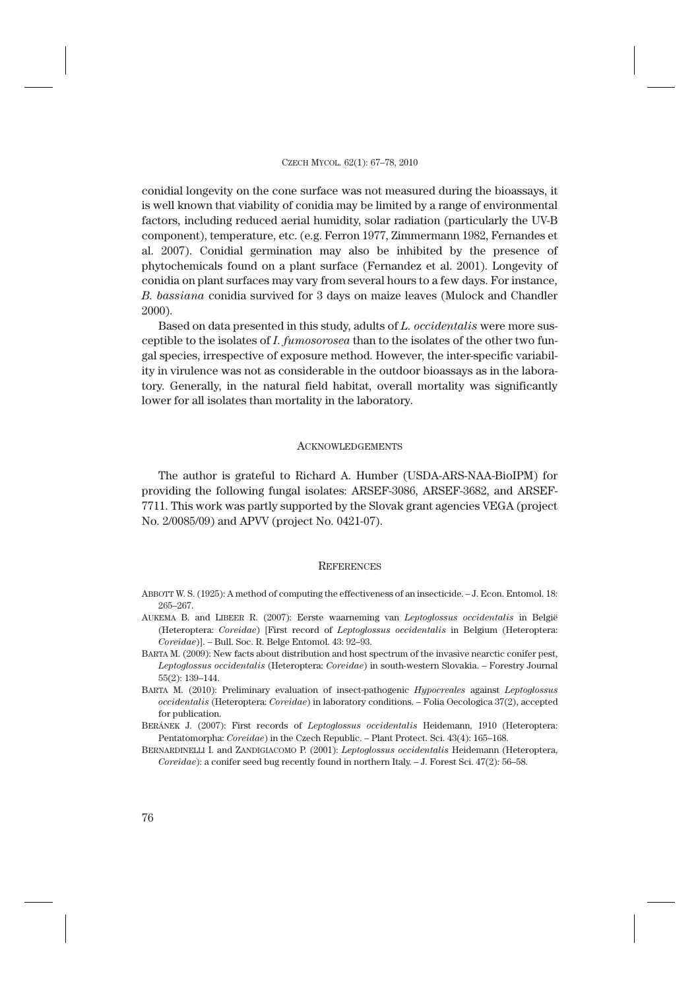conidial longevity on the cone surface was not measured during the bioassays, it is well known that viability of conidia may be limited by a range of environmental factors, including reduced aerial humidity, solar radiation (particularly the UV-B component), temperature, etc. (e.g. Ferron 1977, Zimmermann 1982, Fernandes et al. 2007). Conidial germination may also be inhibited by the presence of phytochemicals found on a plant surface (Fernandez et al. 2001). Longevity of conidia on plant surfaces may vary from several hours to a few days. For instance, *B. bassiana* conidia survived for 3 days on maize leaves (Mulock and Chandler 2000).

Based on data presented in this study, adults of *L. occidentalis* were more susceptible to the isolates of *I. fumosorosea* than to the isolates of the other two fungal species, irrespective of exposure method. However, the inter-specific variability in virulence was not as considerable in the outdoor bioassays as in the laboratory. Generally, in the natural field habitat, overall mortality was significantly lower for all isolates than mortality in the laboratory.

#### **ACKNOWLEDGEMENTS**

The author is grateful to Richard A. Humber (USDA-ARS-NAA-BioIPM) for providing the following fungal isolates: ARSEF-3086, ARSEF-3682, and ARSEF-7711. This work was partly supported by the Slovak grant agencies VEGA (project No. 2/0085/09) and APVV (project No. 0421-07).

#### **REFERENCES**

- ABBOTT W. S. (1925): A method of computing the effectiveness of an insecticide. J. Econ. Entomol. 18: 265–267.
- AUKEMA B. and LIBEER R. (2007): Eerste waarneming van *Leptoglossus occidentalis* in België (Heteroptera: *Coreidae*) [First record of *Leptoglossus occidentalis* in Belgium (Heteroptera: *Coreidae*)]. – Bull. Soc. R. Belge Entomol. 43: 92–93.
- BARTA M. (2009): New facts about distribution and host spectrum of the invasive nearctic conifer pest, *Leptoglossus occidentalis* (Heteroptera: *Coreidae*) in south-western Slovakia. – Forestry Journal 55(2): 139–144.
- BARTA M. (2010): Preliminary evaluation of insect-pathogenic *Hypocreales* against *Leptoglossus occidentalis* (Heteroptera: *Coreidae*) in laboratory conditions. – Folia Oecologica 37(2), accepted for publication.
- BERÁNEK J. (2007): First records of *Leptoglossus occidentalis* Heidemann, 1910 (Heteroptera: Pentatomorpha: *Coreidae*) in the Czech Republic. – Plant Protect. Sci. 43(4): 165–168.
- BERNARDINELLI I. and ZANDIGIACOMO P. (2001): *Leptoglossus occidentalis* Heidemann (Heteroptera, *Coreidae*): a conifer seed bug recently found in northern Italy. – J. Forest Sci. 47(2): 56–58.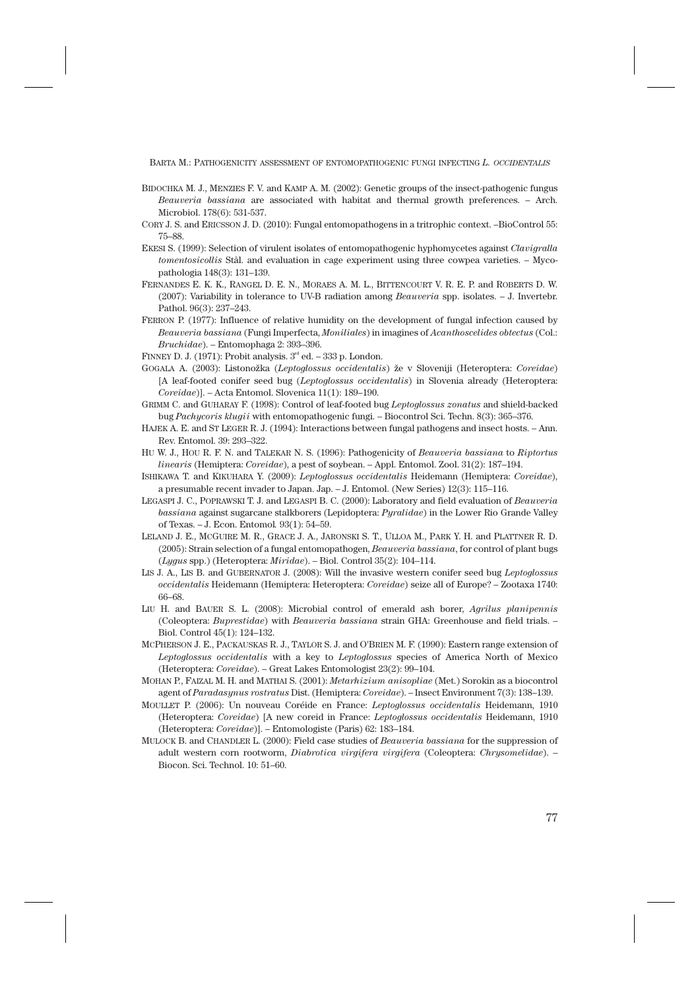BARTA M.: PATHOGENICITY ASSESSMENT OF ENTOMOPATHOGENIC FUNGI INFECTING *L. OCCIDENTALIS*

- BIDOCHKA M. J., MENZIES F. V. and KAMP A. M. (2002): Genetic groups of the insect-pathogenic fungus *Beauveria bassiana* are associated with habitat and thermal growth preferences. – Arch. Microbiol. 178(6): 531-537.
- CORY J. S. and ERICSSON J. D. (2010): Fungal entomopathogens in a tritrophic context. –BioControl 55: 75–88.
- EKESI S. (1999): Selection of virulent isolates of entomopathogenic hyphomycetes against *Clavigralla tomentosicollis* Stål. and evaluation in cage experiment using three cowpea varieties. – Mycopathologia 148(3): 131–139.
- FERNANDES E. K. K., RANGEL D. E. N., MORAES A. M. L., BITTENCOURT V. R. E. P. and ROBERTS D. W. (2007): Variability in tolerance to UV-B radiation among *Beauveria* spp. isolates. – J. Invertebr. Pathol. 96(3): 237–243.
- FERRON P. (1977): Influence of relative humidity on the development of fungal infection caused by *Beauveria bassiana* (Fungi Imperfecta, *Moniliales*) in imagines of *Acanthoscelides obtectus* (Col.: *Bruchidae*). – Entomophaga 2: 393–396.
- FINNEY D. J. (1971): Probit analysis.  $3<sup>rd</sup>$  ed. 333 p. London.
- GOGALA A. (2003): Listonožka (*Leptoglossus occidentalis*) že v Sloveniji (Heteroptera: *Coreidae*) [A leaf-footed conifer seed bug (*Leptoglossus occidentalis*) in Slovenia already (Heteroptera: *Coreidae*)]. – Acta Entomol. Slovenica 11(1): 189–190.
- GRIMM C. and GUHARAY F. (1998): Control of leaf-footed bug *Leptoglossus zonatus* and shield-backed bug *Pachycoris klugii* with entomopathogenic fungi. – Biocontrol Sci. Techn. 8(3): 365–376.
- HAJEK A. E. and ST LEGER R. J. (1994): Interactions between fungal pathogens and insect hosts. Ann. Rev. Entomol. 39: 293–322.
- HU W. J., HOU R. F. N. and TALEKAR N. S. (1996): Pathogenicity of *Beauveria bassiana* to *Riptortus linearis* (Hemiptera: *Coreidae*), a pest of soybean. – Appl. Entomol. Zool. 31(2): 187–194.
- ISHIKAWA T. and KIKUHARA Y. (2009): *Leptoglossus occidentalis* Heidemann (Hemiptera: *Coreidae*), a presumable recent invader to Japan. Jap. – J. Entomol. (New Series) 12(3): 115–116.
- LEGASPI J. C., POPRAWSKI T. J. and LEGASPI B. C. (2000): Laboratory and field evaluation of *Beauveria bassiana* against sugarcane stalkborers (Lepidoptera: *Pyralidae*) in the Lower Rio Grande Valley of Texas. – J. Econ. Entomol*.* 93(1): 54–59.
- LELAND J. E., MCGUIRE M. R., GRACE J. A., JARONSKI S. T., ULLOA M., PARK Y. H. and PLATTNER R. D. (2005): Strain selection of a fungal entomopathogen, *Beauveria bassiana*, for control of plant bugs (*Lygus* spp.) (Heteroptera: *Miridae*). – Biol. Control 35(2): 104–114.
- LIS J. A., LIS B. and GUBERNATOR J. (2008): Will the invasive western conifer seed bug *Leptoglossus occidentalis* Heidemann (Hemiptera: Heteroptera: *Coreidae*) seize all of Europe? – Zootaxa 1740: 66–68.
- LIU H. and BAUER S. L. (2008): Microbial control of emerald ash borer, *Agrilus planipennis* (Coleoptera: *Buprestidae*) with *Beauveria bassiana* strain GHA: Greenhouse and field trials. – Biol. Control 45(1): 124–132.
- MCPHERSON J. E., PACKAUSKAS R. J., TAYLOR S. J. and O'BRIEN M. F. (1990): Eastern range extension of *Leptoglossus occidentalis* with a key to *Leptoglossus* species of America North of Mexico (Heteroptera: *Coreidae*). – Great Lakes Entomologist 23(2): 99–104.
- MOHAN P., FAIZAL M. H. and MATHAI S. (2001): *Metarhizium anisopliae* (Met.) Sorokin as a biocontrol agent of *Paradasynus rostratus* Dist. (Hemiptera: *Coreidae*). – Insect Environment 7(3): 138–139.
- MOULLET P. (2006): Un nouveau Coréide en France: *Leptoglossus occidentalis* Heidemann, 1910 (Heteroptera: *Coreidae*) [A new coreid in France: *Leptoglossus occidentalis* Heidemann, 1910 (Heteroptera: *Coreidae*)]. – Entomologiste (Paris) 62: 183–184.
- MULOCK B. and CHANDLER L. (2000): Field case studies of *Beauveria bassiana* for the suppression of adult western corn rootworm, *Diabrotica virgifera virgifera* (Coleoptera: *Chrysomelidae*). – Biocon. Sci. Technol. 10: 51–60.